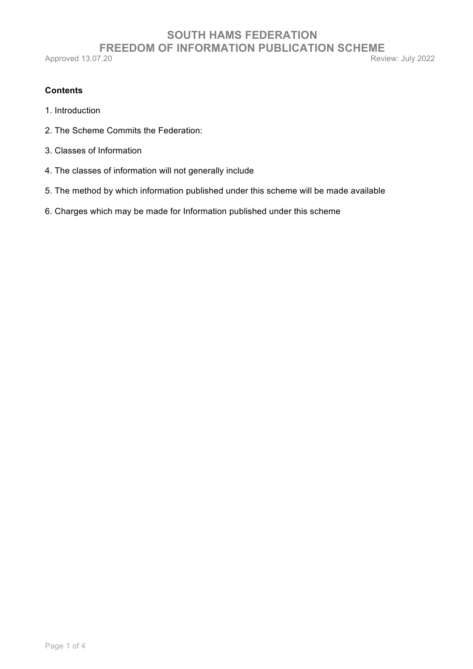# **SOUTH HAMS FEDERATION FREEDOM OF INFORMATION PUBLICATION SCHEME**<br>7.20 Review: July 2022

Approved 13.07.20

# **Contents**

- 1. Introduction
- 2. The Scheme Commits the Federation:
- 3. Classes of Information
- 4. The classes of information will not generally include
- 5. The method by which information published under this scheme will be made available
- 6. Charges which may be made for Information published under this scheme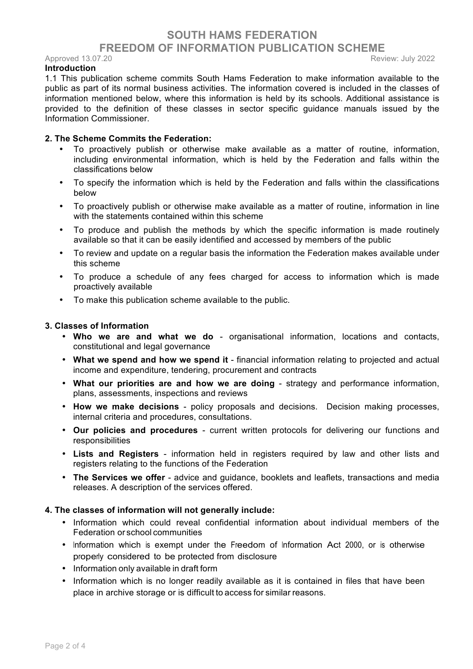# **SOUTH HAMS FEDERATION FREEDOM OF INFORMATION PUBLICATION SCHEME**

Approved 13.07.20 **Review: July 2022** 

### **Introduction**

1.1 This publication scheme commits South Hams Federation to make information available to the public as part of its normal business activities. The information covered is included in the classes of information mentioned below, where this information is held by its schools. Additional assistance is provided to the definition of these classes in sector specific guidance manuals issued by the Information Commissioner.

### **2. The Scheme Commits the Federation:**

- To proactively publish or otherwise make available as a matter of routine, information, including environmental information, which is held by the Federation and falls within the classifications below
- To specify the information which is held by the Federation and falls within the classifications below
- To proactively publish or otherwise make available as a matter of routine, information in line with the statements contained within this scheme
- To produce and publish the methods by which the specific information is made routinely available so that it can be easily identified and accessed by members of the public
- To review and update on a regular basis the information the Federation makes available under this scheme
- To produce a schedule of any fees charged for access to information which is made proactively available
- To make this publication scheme available to the public.

#### **3. Classes of Information**

- **Who we are and what we do**  organisational information, locations and contacts, constitutional and legal governance
- **What we spend and how we spend it**  financial information relating to projected and actual income and expenditure, tendering, procurement and contracts
- **What our priorities are and how we are doing**  strategy and performance information, plans, assessments, inspections and reviews
- **How we make decisions**  policy proposals and decisions. Decision making processes, internal criteria and procedures, consultations.
- **Our policies and procedures**  current written protocols for delivering our functions and responsibilities
- **Lists and Registers**  information held in registers required by law and other lists and registers relating to the functions of the Federation
- **The Services we offer**  advice and guidance, booklets and leaflets, transactions and media releases. A description of the services offered.

#### **4. The classes of information will not generally include:**

- Information which could reveal confidential information about individual members of the Federation or school communities
- Information which is exempt under the Freedom of Information Act 2000, or is otherwise properly considered to be protected from disclosure
- Information only available in draft form
- Information which is no longer readily available as it is contained in files that have been place in archive storage or is difficult to access for similar reasons.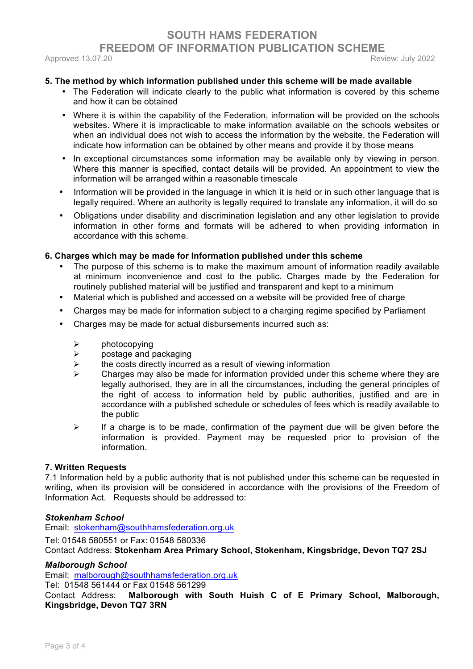# **SOUTH HAMS FEDERATION FREEDOM OF INFORMATION PUBLICATION SCHEME**  Approved 13.07.20 **Review: July 2022**

## **5. The method by which information published under this scheme will be made available**

- The Federation will indicate clearly to the public what information is covered by this scheme and how it can be obtained
- Where it is within the capability of the Federation, information will be provided on the schools websites. Where it is impracticable to make information available on the schools websites or when an individual does not wish to access the information by the website, the Federation will indicate how information can be obtained by other means and provide it by those means
- In exceptional circumstances some information may be available only by viewing in person. Where this manner is specified, contact details will be provided. An appointment to view the information will be arranged within a reasonable timescale
- Information will be provided in the language in which it is held or in such other language that is legally required. Where an authority is legally required to translate any information, it will do so
- Obligations under disability and discrimination legislation and any other legislation to provide information in other forms and formats will be adhered to when providing information in accordance with this scheme.

### **6. Charges which may be made for Information published under this scheme**

- The purpose of this scheme is to make the maximum amount of information readily available at minimum inconvenience and cost to the public. Charges made by the Federation for routinely published material will be justified and transparent and kept to a minimum
- Material which is published and accessed on a website will be provided free of charge
- Charges may be made for information subject to a charging regime specified by Parliament
- Charges may be made for actual disbursements incurred such as:
	- $\triangleright$  photocopying
	- $\triangleright$  postage and packaging
	- $\triangleright$  the costs directly incurred as a result of viewing information
	- $\triangleright$  Charges may also be made for information provided under this scheme where they are legally authorised, they are in all the circumstances, including the general principles of the right of access to information held by public authorities, justified and are in accordance with a published schedule or schedules of fees which is readily available to the public
	- $\triangleright$  If a charge is to be made, confirmation of the payment due will be given before the information is provided. Payment may be requested prior to provision of the information.

### **7. Written Requests**

7.1 Information held by a public authority that is not published under this scheme can be requested in writing, when its provision will be considered in accordance with the provisions of the Freedom of Information Act. Requests should be addressed to:

### *Stokenham School*

Email:stokenham@southhamsfederation.org.uk

Tel: 01548 580551 or Fax: 01548 580336 Contact Address: **Stokenham Area Primary School, Stokenham, Kingsbridge, Devon TQ7 2SJ**

### *Malborough School*

Email: malborough@southhamsfederation.org.uk

Tel: 01548 561444 or Fax 01548 561299

Contact Address: **Malborough with South Huish C of E Primary School, Malborough, Kingsbridge, Devon TQ7 3RN**